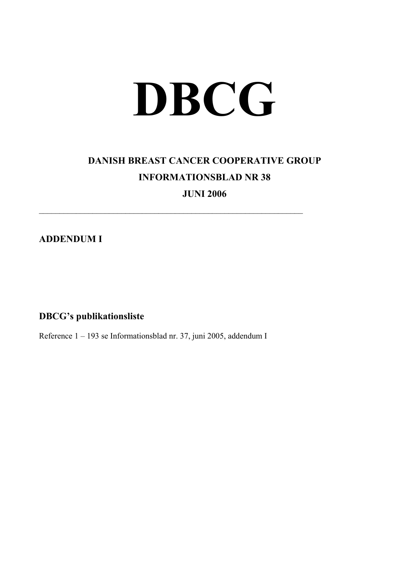## **DBCG**

## **DANISH BREAST CANCER COOPERATIVE GROUP INFORMATIONSBLAD NR 38**

**JUNI 2006** 

 $\mathcal{L}_\text{max}$  , and the contribution of the contribution of the contribution of the contribution of the contribution of the contribution of the contribution of the contribution of the contribution of the contribution of t

**ADDENDUM I** 

**DBCG's publikationsliste** 

Reference 1 – 193 se Informationsblad nr. 37, juni 2005, addendum I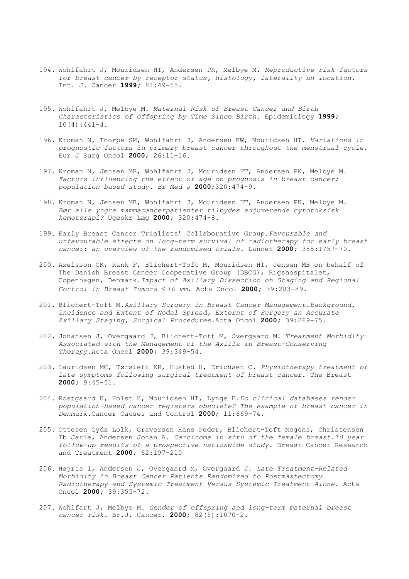- 194. Wohlfahrt J, Mouridsen HT, Andersen PK, Melbye M. *Reproductive risk factors for breast cancer by receptor status, histology, laterality an location*. Int. J. Cancer **1999;** 81:49-55.
- 195. Wohlfahrt J, Melbye M. *Maternal Risk of Breast Cancer and Birth Characteristics of Offspring by Time Since Birth.* Epidemiology **1999;**   $10(4):441-4.$
- 196. Kroman N, Thorpe SM, Wohlfahrt J, Andersen KW, Mouridsen HT. *Variations in prognostic factors in primary breast cancer throughout the menstrual cycle*. Eur J Surg Oncol **2000**; 26:11-16.
- 197. Kroman N, Jensen MB, Wohlfahrt J, Mouridsen HT, Andersen PK, Melbye M. *Factors influencing the effect of age on prognosis in breast cancer: population based study. Br Med J* **2000**;320:474-9.
- 198. Kroman N, Jensen MB, Wohlfahrt J, Mouridsen HT, Andersen PK, Melbye M. *Bør alle yngre mammacancerpatienter tilbydes adjuverende cytotoksisk kemoterapi?* Ugeskr Læg **2000;** 320:474-8.
- 199. Early Breast Cancer Trialists' Collaborative Group.*Favourable and unfavourable effects on long-term survival of radiotherapy for early breast cancer: an overview of the randomised trials.* Lancet **2000;** 355:1757-70.
- 200. Axelsson CK, Rank F, Blichert-Toft M, Mouridsen HT, Jensen MB on behalf of The Danish Breast Cancer Cooperative Group (DBCG), Rigshospitalet, Copenhagen, Denmark.*Impact of Axillary Dissection on Staging and Regional Control in Breast Tumors* ≤ *10 mm.* Acta Oncol **2000;** 39:283-89.
- 201. Blichert-Toft M.*Axillary Surgery in Breast Cancer Management.Background, Incidence and Extent of Nodal Spread, Externt of Surgery an Accurate Axillary Staging, Surgical Procedures.*Acta Oncol **2000;** 39:269-75.
- 202. Johansen J, Overgaard J, Blichert-Toft M, Overgaard M. *Treatment Morbidity Associated with the Management of the Axilla in Breast-Conserving Therapy.*Acta Oncol **2000;** 39:349-54.
- 203. Lauridsen MC, Tørsleff KR, Husted H, Erichsen C. *Physiotherapy treatment of late symptoms following surgical treatment of breast cancer.* The Breast **2000;** 9:45-51.
- 204. Rostgaard K, Holst H, Mouridsen HT, Lynge E.*Do clinical databases render population-based cancer registers obsolete? The example of breast cancer in Denmark.*Cancer Causes and Control **2000**; 11:669-74.
- 205. Ottesen Gyda Lolk, Graversen Hans Peder, Blichert-Toft Mogens, Christensen Ib Jarle, Andersen Johan A. *Carcinoma in situ of the female breast.10 year follow-up results of a prospective nationwide study.* Breast Cancer Research and Treatment **2000;** 62:197-210
- 206. Højris I, Andersen J, Overgaard M, Overgaard J. *Late Treatment-Related Morbidity in Breast Cancer Patients Randomized to Postmastectomy Radiotherapy and Systemic Treatment Versus Systemic Treatment Alone.* Acta Oncol **2000;** 39:355-72.
- 207. Wohlfart J, Melbye M. *Gender of offspring and long-term maternal breast cancer risk.* Br.J. Cancer. **2000;** 82(5):1070-2.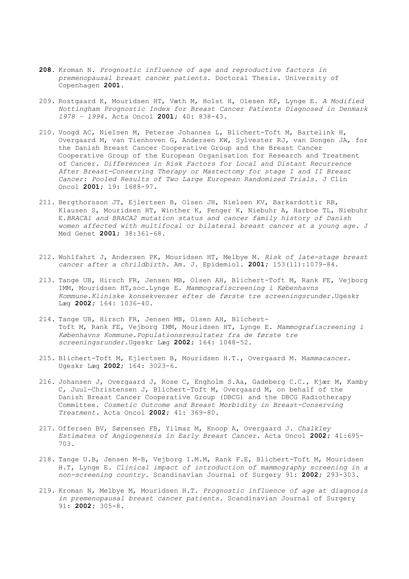- **208.** Kroman N. *Prognostic influence of age and reproductive factors in premenopausal breast cancer patients*. Doctoral Thesis. University of Copenhagen **2001.**
- 209. Rostgaard K, Mouridsen HT, Væth M, Holst H, Olesen KP, Lynge E. *A Modified Nottingham Prognostic Index for Breast Cancer Patients Diagnosed in Denmark 1978 – 1994.* Acta Oncol **2001;** 40: 838-43.
- 210. Voogd AC, Nielsen M, Peterse Johannes L, Blichert-Toft M, Bartelink H, Overgaard M, van Tienhoven G, Andersen KW, Sylvester RJ, van Dongen JA, for the Danish Breast Cancer Cooperative Group and the Breast Cancer Cooperative Group of the European Organisation for Research and Treatment of Cancer. *Differences in Risk Factors for Local and Distant Recurrence After Breast-Conserving Therapy or Mastectomy for stage I and II Breast Cancer: Pooled Results of Two Large European Randomized Trials.* J Clin Oncol **2001;** 19: 1688-97.
- 211. Bergthorsson JT, Ejlertsen B, Olsen JH, Nielsen KV, Barkardottir RB, Klausen S, Mouridsen HT, Winther K, Fenger K, Niebuhr A, Harboe TL, Niebuhr E.*BRACA1 and BRACA2 mutation status and cancer family history of Danish women affected with multifocal or bilateral breast cancer at a young age.* J Med Genet **2001;** 38:361-68.
- 212. Wohlfahrt J, Andersen PK, Mouridsen HT, Melbye M. *Risk of late-stage breast cancer after a chrildbirth.* Am. J. Epidemiol. **2001;** 153(11):1079-84.
- 213. Tange UB, Hirsch FR, Jensen MB, Olsen AH, Blichert-Toft M, Rank FE, Vejborg IMM, Mouridsen HT,soc.Lynge E. *Mammografiscreening i Københavns Kommune.Kliniske konsekvenser efter de første tre screeningsrunder.*Ugeskr Læg **2002;** 164: 1036-40.
- 214. Tange UB, Hirsch FR, Jensen MB, Olsen AH, Blichert-Toft M, Rank FE, Vejborg IMM, Mouridsen HT, Lynge E. *Mammografiscreening i Københavns Kommune.Populationsresultater fra de første tre screeningsrunder.*Ugeskr Læg **2002;** 164: 1048-52.
- 215. Blichert-Toft M, Ejlertsen B, Mouridsen H.T., Overgaard M. M*ammacancer*. Ugeskr Læg **2002**; 164: 3023-6.
- 216. Johansen J, Overgaard J, Rose C, Engholm S.Aa, Gadeberg C.C., Kjær M, Kamby C, Juul-Christensen J, Blichert-Toft M, Overgaard M, on behalf of the Danish Breast Cancer Cooperative Group (DBCG) and the DBCG Radiotherapy Committee. *Cosmetic Outcome and Breast Morbidity in Breast-Conserving Treatment*. Acta Oncol **2002;** 41: 369-80.
- 217. Offersen BV, Sørensen FB, Yilmaz M, Knoop A, Overgaard J. *Chalkley Estimates of Angiogenesis in Early Breast Cancer.* Acta Oncol **2002;** 41:695- 703.
- 218. Tange U.B, Jensen M-B, Vejborg I.M.M, Rank F.E, Blichert-Toft M, Mouridsen H.T, Lynge E. *Clinical impact of introduction of mammography screening in a non-screening country.* Scandinavian Journal of Surgery 91: **2002;** 293-303.
- 219. Kroman N, Melbye M, Mouridsen H.T. *Prognostic influence of age at diagnosis in premenopausal breast cancer patients.* Scandinavian Journal of Surgery 91: **2002;** 305-8.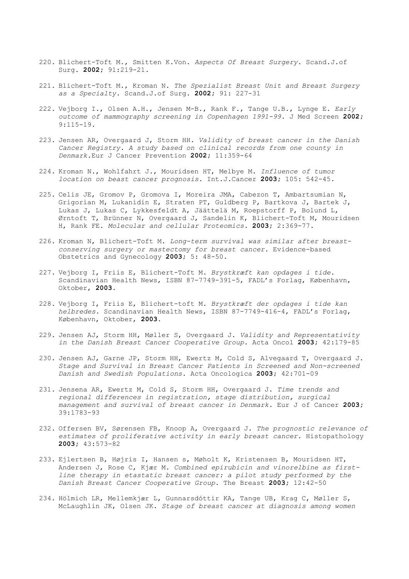- 220. Blichert-Toft M., Smitten K.Von. *Aspects Of Breast Surgery.* Scand.J.of Surg. **2002;** 91:219-21.
- 221. Blichert-Toft M., Kroman N. *The Spezialist Breast Unit and Breast Surgery as a Specialty.* Scand.J.of Surg. **2002;** 91: 227-31
- 222. Vejborg I., Olsen A.H., Jensen M-B., Rank F., Tange U.B., Lynge E. *Early outcome of mammography screening in Copenhagen 1991-99.* J Med Screen **2002;**  9:115-19.
- 223. Jensen AR, Overgaard J, Storm HH. *Validity of breast cancer in the Danish Cancer Registry. A study based on clinical records from one county in Denmark.*Eur J Cancer Prevention **2002;** 11:359-64
- 224. Kroman N., Wohlfahrt J., Mouridsen HT, Melbye M. *Influence of tumor location on beast cancer prognosis.* Int.J.Cancer **2003;** 105: 542-45.
- 225. Celis JE, Gromov P, Gromova I, Moreira JMA, Cabezon T, Ambartsumian N, Grigorian M, Lukanidin E, Straten PT, Guldberg P, Bartkova J, Bartek J, Lukas J, Lukas C, Lykkesfeldt A, Jäättelä M, Roepstorff P, Bolund L, Ørntoft T, Brünner N, Overgaard J, Sandelin K, Blichert-Toft M, Mouridsen H, Rank FE. *Molecular and cellular Proteomics.* **2003;** 2:369-77.
- 226. Kroman N, Blichert-Toft M. *Long-term survival was similar after breastconserving surgery or mastectomy for breast cancer.* Evidence-based Obstetrics and Gynecology **2003;** 5: 48-50.
- 227. Vejborg I, Friis E, Blichert-Toft M. *Brystkræft kan opdages i tide.*  Scandinavian Health News, ISBN 87-7749-391-5, FADL's Forlag, København, Oktober, **2003.**
- 228. Vejborg I, Friis E, Blichert-toft M. *Brystkræft der opdages i tide kan helbredes.* Scandinavian Health News, ISBN 87-7749-416-4, FADL's Forlag, København, Oktober, **2003.**
- 229. Jensen AJ, Storm HH, Møller S, Overgaard J. *Validity and Representativity in the Danish Breast Cancer Cooperative Group.* Acta Oncol **2003;** 42:179-85
- 230. Jensen AJ, Garne JP, Storm HH, Ewertz M, Cold S, Alvegaard T, Overgaard J. *Stage and Survival in Breast Cancer Patients in Screened and Non-screened Danish and Swedish Populations.* Acta Oncologica **2003;** 42:701-09
- 231. Jensena AR, Ewertz M, Cold S, Storm HH, Overgaard J. *Time trends and regional differences in registration, stage distribution, surgical management and survival of breast cancer in Denmark.* Eur J of Cancer **2003;**  39:1783-93
- 232. Offersen BV, Sørensen FB, Knoop A, Overgaard J. *The prognostic relevance of estimates of proliferative activity in early breast cancer.* Histopathology **2003;** 43:573-82
- 233. Ejlertsen B, Højris I, Hansen s, Møholt K, Kristensen B, Mouridsen HT, Andersen J, Rose C, Kjær M. *Combined epirubicin and vinorelbine as firstline therapy in etastatic breast cancer: a pilot study performed by the Danish Breast Cancer Cooperative Group.* The Breast **2003;** 12:42-50
- 234. Hölmich LR, Mellemkjær L, Gunnarsdóttir KA, Tange UB, Krag C, Møller S, McLaughlin JK, Olsen JK. *Stage of breast cancer at diagnosis among women*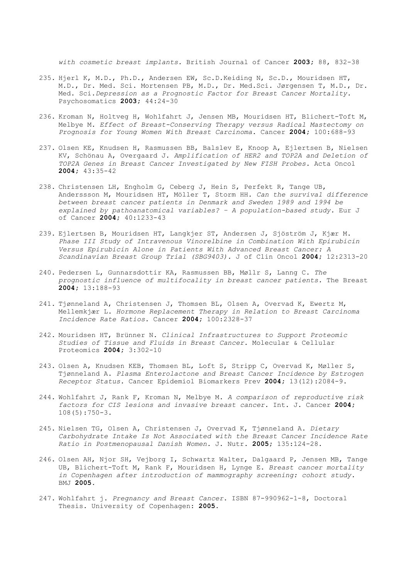*with cosmetic breast implants.* British Journal of Cancer **2003;** 88, 832-38

- 235. Hjerl K, M.D., Ph.D., Andersen EW, Sc.D.Keiding N, Sc.D., Mouridsen HT, M.D., Dr. Med. Sci. Mortensen PB, M.D., Dr. Med.Sci. Jørgensen T, M.D., Dr. Med. Sci.*Depression as a Prognostic Factor for Breast Cancer Mortality.* Psychosomatics **2003;** 44:24-30
- 236. Kroman N, Holtveg H, Wohlfahrt J, Jensen MB, Mouridsen HT, Blichert-Toft M, Melbye M. *Effect of Breast-Conserving Therapy versus Radical Mastectomy on Prognosis for Young Women With Breast Carcinoma*. Cancer **2004;** 100:688-93
- 237. Olsen KE, Knudsen H, Rasmussen BB, Balslev E, Knoop A, Ejlertsen B, Nielsen KV, Schönau A, Overgaard J. *Amplification of HER2 and TOP2A and Deletion of TOP2A Genes in Breast Cancer Investigated by New FISH Probes.* Acta Oncol **2004;** 43:35-42
- 238. Christensen LH, Engholm G, Ceberg J, Hein S, Perfekt R, Tange UB, Anderssson M, Mouridsen HT, Möller T, Storm HH. *Can the survival difference between breast cancer patients in Denmark and Sweden 1989 and 1994 be explained by pathoanatomical variables? – A population-based study.* Eur J of Cancer **2004;** 40:1233-43
- 239. Ejlertsen B, Mouridsen HT, Langkjer ST, Andersen J, Sjöström J, Kjær M. *Phase III Study of Intravenous Vinorelbine in Combination With Epirubicin Versus Epirubicin Alone in Patients With Advanced Breast Cancer: A Scandinavian Breast Group Trial (SBG9403).* J of Clin Oncol **2004;** 12:2313-20
- 240. Pedersen L, Gunnarsdottir KA, Rasmussen BB, Møllr S, Lanng C. *The prognostic influence of multifocality in breast cancer patients.* The Breast **2004;** 13:188-93
- 241. Tjønneland A, Christensen J, Thomsen BL, Olsen A, Overvad K, Ewertz M, Mellemkjær L. *Hormone Replacement Therapy in Relation to Breast Carcinoma Incidence Rate Ratios.* Cancer **2004;** 100:2328-37
- 242. Mouridsen HT, Brünner N. *Clinical Infrastructures to Support Proteomic Studies of Tissue and Fluids in Breast Cancer.* Molecular & Cellular Proteomics **2004;** 3:302-10
- 243. Olsen A, Knudsen KEB, Thomsen BL, Loft S, Stripp C, Overvad K, Møller S, Tjønneland A. *Plasma Enterolactone and Breast Cancer Incidence by Estrogen Receptor Status.* Cancer Epidemiol Biomarkers Prev **2004;** 13(12):2084-9.
- 244. Wohlfahrt J, Rank F, Kroman N, Melbye M. *A comparison of reproductive risk factors for CIS lesions and invasive breast cancer.* Int. J. Cancer **2004;**  108(5):750-3.
- 245. Nielsen TG, Olsen A, Christensen J, Overvad K, Tjønneland A. *Dietary Carbohydrate Intake Is Not Associated with the Breast Cancer Incidence Rate Ratio in Postmenopausal Danish Women.* J. Nutr. **2005;** 135:124-28.
- 246. Olsen AH, Njor SH, Vejborg I, Schwartz Walter, Dalgaard P, Jensen MB, Tange UB, Blichert-Toft M, Rank F, Mouridsen H, Lynge E. *Breast cancer mortality in Copenhagen after introduction of mammography screening: cohort study.*  BMJ **2005.**
- 247. Wohlfahrt j. *Pregnancy and Breast Cancer*. ISBN 87-990962-1-8, Doctoral Thesis. University of Copenhagen: **2005.**